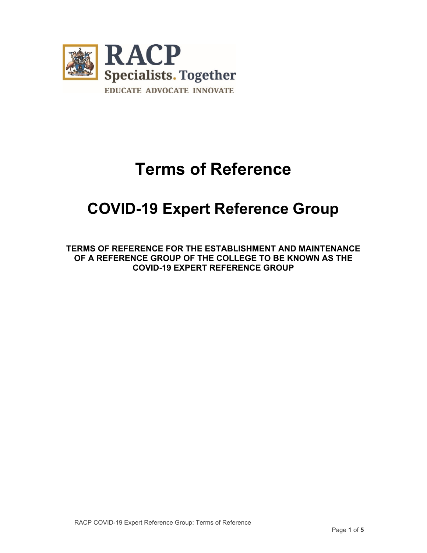

# **Terms of Reference**

# **COVID-19 Expert Reference Group**

**TERMS OF REFERENCE FOR THE ESTABLISHMENT AND MAINTENANCE OF A REFERENCE GROUP OF THE COLLEGE TO BE KNOWN AS THE COVID-19 EXPERT REFERENCE GROUP**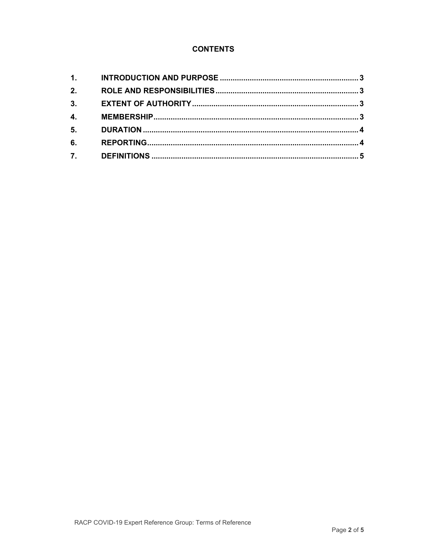# **CONTENTS**

| 1.               |  |
|------------------|--|
| 2.               |  |
| 3.               |  |
| $\overline{4}$ . |  |
| 5.               |  |
| 6.               |  |
| 7.               |  |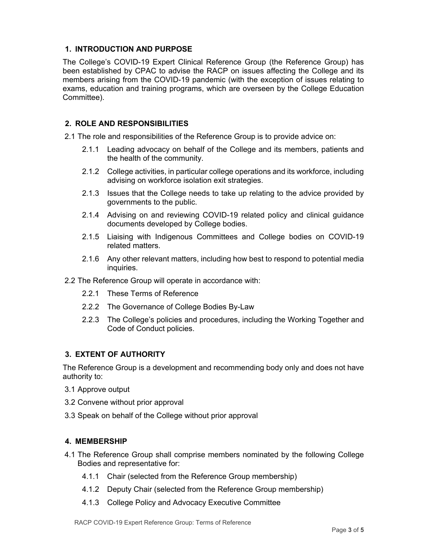# **1. INTRODUCTION AND PURPOSE**

The College's COVID-19 Expert Clinical Reference Group (the Reference Group) has been established by CPAC to advise the RACP on issues affecting the College and its members arising from the COVID-19 pandemic (with the exception of issues relating to exams, education and training programs, which are overseen by the College Education Committee).

# **2. ROLE AND RESPONSIBILITIES**

2.1 The role and responsibilities of the Reference Group is to provide advice on:

- 2.1.1 Leading advocacy on behalf of the College and its members, patients and the health of the community.
- 2.1.2 College activities, in particular college operations and its workforce, including advising on workforce isolation exit strategies.
- 2.1.3 Issues that the College needs to take up relating to the advice provided by governments to the public.
- 2.1.4 Advising on and reviewing COVID-19 related policy and clinical guidance documents developed by College bodies.
- 2.1.5 Liaising with Indigenous Committees and College bodies on COVID-19 related matters.
- 2.1.6 Any other relevant matters, including how best to respond to potential media inquiries.
- 2.2 The Reference Group will operate in accordance with:
	- 2.2.1 These Terms of Reference
	- 2.2.2 The Governance of College Bodies By-Law
	- 2.2.3 The College's policies and procedures, including the Working Together and Code of Conduct policies.

# **3. EXTENT OF AUTHORITY**

The Reference Group is a development and recommending body only and does not have authority to:

- 3.1 Approve output
- 3.2 Convene without prior approval
- 3.3 Speak on behalf of the College without prior approval

#### **4. MEMBERSHIP**

- 4.1 The Reference Group shall comprise members nominated by the following College Bodies and representative for:
	- 4.1.1 Chair (selected from the Reference Group membership)
	- 4.1.2 Deputy Chair (selected from the Reference Group membership)
	- 4.1.3 College Policy and Advocacy Executive Committee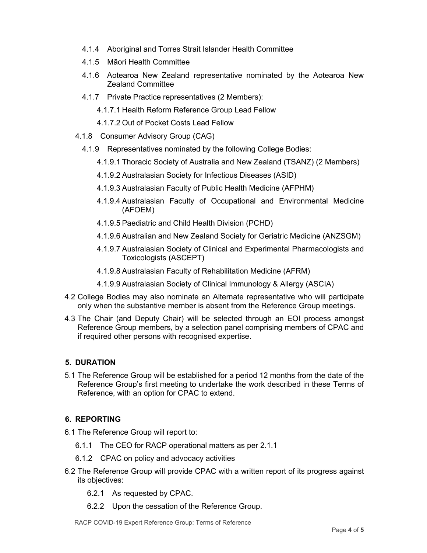- 4.1.4 Aboriginal and Torres Strait Islander Health Committee
- 4.1.5 Māori Health Committee
- 4.1.6 Aotearoa New Zealand representative nominated by the Aotearoa New Zealand Committee
- 4.1.7 Private Practice representatives (2 Members):
	- 4.1.7.1 Health Reform Reference Group Lead Fellow
	- 4.1.7.2 Out of Pocket Costs Lead Fellow
- 4.1.8 Consumer Advisory Group (CAG)
	- 4.1.9 Representatives nominated by the following College Bodies:
		- 4.1.9.1 Thoracic Society of Australia and New Zealand (TSANZ) (2 Members)
		- 4.1.9.2 Australasian Society for Infectious Diseases (ASID)
		- 4.1.9.3 Australasian Faculty of Public Health Medicine (AFPHM)
		- 4.1.9.4 Australasian Faculty of Occupational and Environmental Medicine (AFOEM)
		- 4.1.9.5 Paediatric and Child Health Division (PCHD)
		- 4.1.9.6 Australian and New Zealand Society for Geriatric Medicine (ANZSGM)
		- 4.1.9.7 Australasian Society of Clinical and Experimental Pharmacologists and Toxicologists (ASCEPT)
		- 4.1.9.8 Australasian Faculty of Rehabilitation Medicine (AFRM)
		- 4.1.9.9 Australasian Society of Clinical Immunology & Allergy (ASCIA)
- 4.2 College Bodies may also nominate an Alternate representative who will participate only when the substantive member is absent from the Reference Group meetings.
- 4.3 The Chair (and Deputy Chair) will be selected through an EOI process amongst Reference Group members, by a selection panel comprising members of CPAC and if required other persons with recognised expertise.

# **5. DURATION**

5.1 The Reference Group will be established for a period 12 months from the date of the Reference Group's first meeting to undertake the work described in these Terms of Reference, with an option for CPAC to extend.

# **6. REPORTING**

- 6.1 The Reference Group will report to:
	- 6.1.1 The CEO for RACP operational matters as per 2.1.1
	- 6.1.2 CPAC on policy and advocacy activities
- 6.2 The Reference Group will provide CPAC with a written report of its progress against its objectives:
	- 6.2.1 As requested by CPAC.
	- 6.2.2 Upon the cessation of the Reference Group.